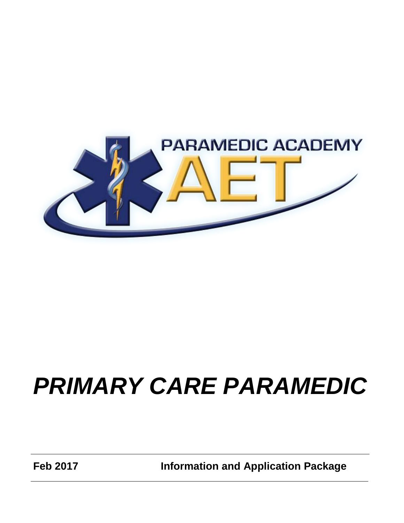

# *PRIMARY CARE PARAMEDIC*

**Feb 2017 Information and Application Package**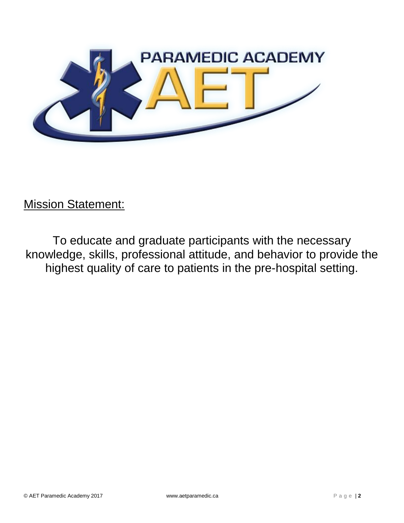

Mission Statement:

To educate and graduate participants with the necessary knowledge, skills, professional attitude, and behavior to provide the highest quality of care to patients in the pre-hospital setting.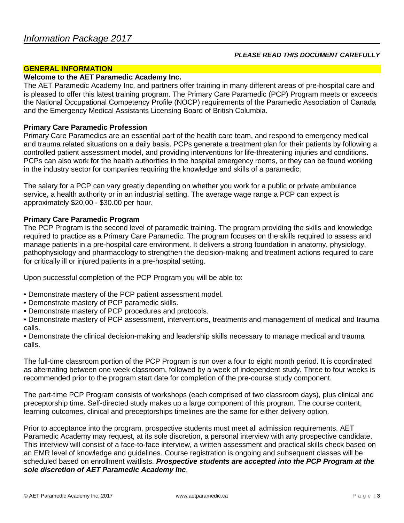#### *PLEASE READ THIS DOCUMENT CAREFULLY*

#### **GENERAL INFORMATION**

#### **Welcome to the AET Paramedic Academy Inc.**

The AET Paramedic Academy Inc. and partners offer training in many different areas of pre-hospital care and is pleased to offer this latest training program. The Primary Care Paramedic (PCP) Program meets or exceeds the National Occupational Competency Profile (NOCP) requirements of the Paramedic Association of Canada and the Emergency Medical Assistants Licensing Board of British Columbia.

#### **Primary Care Paramedic Profession**

Primary Care Paramedics are an essential part of the health care team, and respond to emergency medical and trauma related situations on a daily basis. PCPs generate a treatment plan for their patients by following a controlled patient assessment model, and providing interventions for life-threatening injuries and conditions. PCPs can also work for the health authorities in the hospital emergency rooms, or they can be found working in the industry sector for companies requiring the knowledge and skills of a paramedic.

The salary for a PCP can vary greatly depending on whether you work for a public or private ambulance service, a health authority or in an industrial setting. The average wage range a PCP can expect is approximately \$20.00 - \$30.00 per hour.

#### **Primary Care Paramedic Program**

The PCP Program is the second level of paramedic training. The program providing the skills and knowledge required to practice as a Primary Care Paramedic. The program focuses on the skills required to assess and manage patients in a pre-hospital care environment. It delivers a strong foundation in anatomy, physiology, pathophysiology and pharmacology to strengthen the decision-making and treatment actions required to care for critically ill or injured patients in a pre-hospital setting.

Upon successful completion of the PCP Program you will be able to:

- Demonstrate mastery of the PCP patient assessment model.
- Demonstrate mastery of PCP paramedic skills.
- Demonstrate mastery of PCP procedures and protocols.

• Demonstrate mastery of PCP assessment, interventions, treatments and management of medical and trauma calls.

• Demonstrate the clinical decision-making and leadership skills necessary to manage medical and trauma calls.

The full-time classroom portion of the PCP Program is run over a four to eight month period. It is coordinated as alternating between one week classroom, followed by a week of independent study. Three to four weeks is recommended prior to the program start date for completion of the pre-course study component.

The part-time PCP Program consists of workshops (each comprised of two classroom days), plus clinical and preceptorship time. Self-directed study makes up a large component of this program. The course content, learning outcomes, clinical and preceptorships timelines are the same for either delivery option.

Prior to acceptance into the program, prospective students must meet all admission requirements. AET Paramedic Academy may request, at its sole discretion, a personal interview with any prospective candidate. This interview will consist of a face-to-face interview, a written assessment and practical skills check based on an EMR level of knowledge and guidelines. Course registration is ongoing and subsequent classes will be scheduled based on enrollment waitlists. *Prospective students are accepted into the PCP Program at the sole discretion of AET Paramedic Academy Inc*.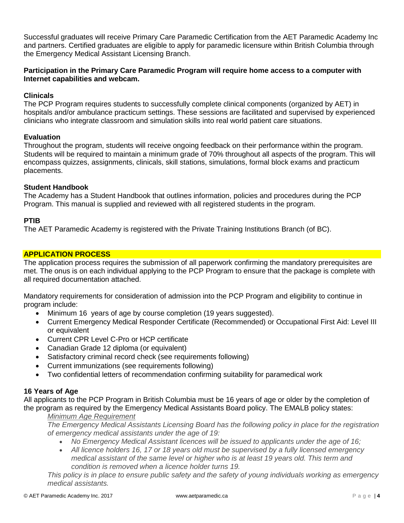Successful graduates will receive Primary Care Paramedic Certification from the AET Paramedic Academy Inc and partners. Certified graduates are eligible to apply for paramedic licensure within British Columbia through the Emergency Medical Assistant Licensing Branch.

## **Participation in the Primary Care Paramedic Program will require home access to a computer with Internet capabilities and webcam.**

## **Clinicals**

The PCP Program requires students to successfully complete clinical components (organized by AET) in hospitals and/or ambulance practicum settings. These sessions are facilitated and supervised by experienced clinicians who integrate classroom and simulation skills into real world patient care situations.

#### **Evaluation**

Throughout the program, students will receive ongoing feedback on their performance within the program. Students will be required to maintain a minimum grade of 70% throughout all aspects of the program. This will encompass quizzes, assignments, clinicals, skill stations, simulations, formal block exams and practicum placements.

#### **Student Handbook**

The Academy has a Student Handbook that outlines information, policies and procedures during the PCP Program. This manual is supplied and reviewed with all registered students in the program.

#### **PTIB**

The AET Paramedic Academy is registered with the Private Training Institutions Branch (of BC).

#### **APPLICATION PROCESS**

The application process requires the submission of all paperwork confirming the mandatory prerequisites are met. The onus is on each individual applying to the PCP Program to ensure that the package is complete with all required documentation attached.

Mandatory requirements for consideration of admission into the PCP Program and eligibility to continue in program include:

- Minimum 16 years of age by course completion (19 years suggested).
- Current Emergency Medical Responder Certificate (Recommended) or Occupational First Aid: Level III or equivalent
- Current CPR Level C-Pro or HCP certificate
- Canadian Grade 12 diploma (or equivalent)
- Satisfactory criminal record check (see requirements following)
- Current immunizations (see requirements following)
- Two confidential letters of recommendation confirming suitability for paramedical work

# **16 Years of Age**

All applicants to the PCP Program in British Columbia must be 16 years of age or older by the completion of the program as required by the Emergency Medical Assistants Board policy. The EMALB policy states:

#### *Minimum Age Requirement*

*The Emergency Medical Assistants Licensing Board has the following policy in place for the registration of emergency medical assistants under the age of 19:*

- *No Emergency Medical Assistant licences will be issued to applicants under the age of 16;*
- *All licence holders 16, 17 or 18 years old must be supervised by a fully licensed emergency medical assistant of the same level or higher who is at least 19 years old. This term and condition is removed when a licence holder turns 19.*

*This policy is in place to ensure public safety and the safety of young individuals working as emergency medical assistants.*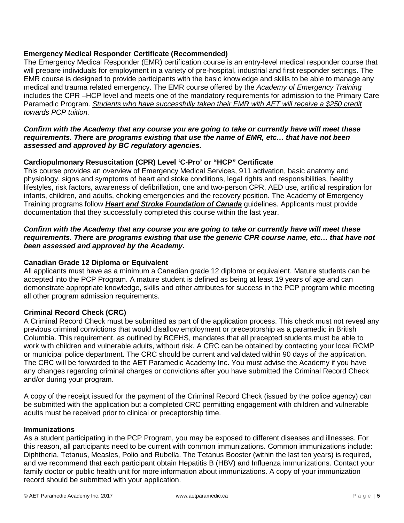# **Emergency Medical Responder Certificate (Recommended)**

The Emergency Medical Responder (EMR) certification course is an entry-level medical responder course that will prepare individuals for employment in a variety of pre-hospital, industrial and first responder settings. The EMR course is designed to provide participants with the basic knowledge and skills to be able to manage any medical and trauma related emergency. The EMR course offered by the *Academy of Emergency Training* includes the CPR –HCP level and meets one of the mandatory requirements for admission to the Primary Care Paramedic Program. *Students who have successfully taken their EMR with AET will receive a \$250 credit towards PCP tuition.*

#### *Confirm with the Academy that any course you are going to take or currently have will meet these requirements. There are programs existing that use the name of EMR, etc… that have not been assessed and approved by BC regulatory agencies.*

#### **Cardiopulmonary Resuscitation (CPR) Level 'C-Pro' or "HCP" Certificate**

This course provides an overview of Emergency Medical Services, 911 activation, basic anatomy and physiology, signs and symptoms of heart and stoke conditions, legal rights and responsibilities, healthy lifestyles, risk factors, awareness of defibrillation, one and two-person CPR, AED use, artificial respiration for infants, children, and adults, choking emergencies and the recovery position. The Academy of Emergency Training programs follow *Heart and Stroke Foundation of Canada* guidelines. Applicants must provide documentation that they successfully completed this course within the last year.

#### *Confirm with the Academy that any course you are going to take or currently have will meet these requirements. There are programs existing that use the generic CPR course name, etc… that have not been assessed and approved by the Academy.*

#### **Canadian Grade 12 Diploma or Equivalent**

All applicants must have as a minimum a Canadian grade 12 diploma or equivalent. Mature students can be accepted into the PCP Program. A mature student is defined as being at least 19 years of age and can demonstrate appropriate knowledge, skills and other attributes for success in the PCP program while meeting all other program admission requirements.

#### **Criminal Record Check (CRC)**

A Criminal Record Check must be submitted as part of the application process. This check must not reveal any previous criminal convictions that would disallow employment or preceptorship as a paramedic in British Columbia. This requirement, as outlined by BCEHS, mandates that all precepted students must be able to work with children and vulnerable adults, without risk. A CRC can be obtained by contacting your local RCMP or municipal police department. The CRC should be current and validated within 90 days of the application. The CRC will be forwarded to the AET Paramedic Academy Inc. You must advise the Academy if you have any changes regarding criminal charges or convictions after you have submitted the Criminal Record Check and/or during your program.

A copy of the receipt issued for the payment of the Criminal Record Check (issued by the police agency) can be submitted with the application but a completed CRC permitting engagement with children and vulnerable adults must be received prior to clinical or preceptorship time.

#### **Immunizations**

As a student participating in the PCP Program, you may be exposed to different diseases and illnesses. For this reason, all participants need to be current with common immunizations. Common immunizations include: Diphtheria, Tetanus, Measles, Polio and Rubella. The Tetanus Booster (within the last ten years) is required, and we recommend that each participant obtain Hepatitis B (HBV) and Influenza immunizations. Contact your family doctor or public health unit for more information about immunizations. A copy of your immunization record should be submitted with your application.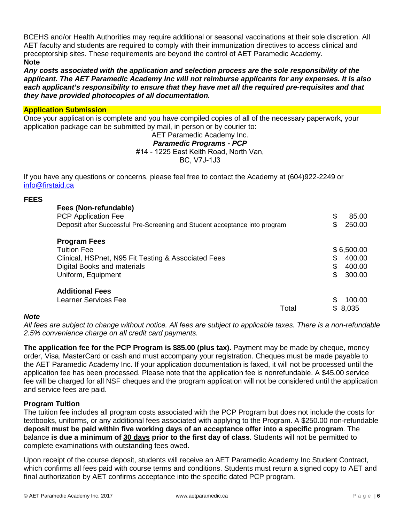BCEHS and/or Health Authorities may require additional or seasonal vaccinations at their sole discretion. All AET faculty and students are required to comply with their immunization directives to access clinical and preceptorship sites. These requirements are beyond the control of AET Paramedic Academy. **Note**

*Any costs associated with the application and selection process are the sole responsibility of the applicant. The AET Paramedic Academy Inc will not reimburse applicants for any expenses. It is also each applicant's responsibility to ensure that they have met all the required pre-requisites and that they have provided photocopies of all documentation.*

#### **Application Submission**

Once your application is complete and you have compiled copies of all of the necessary paperwork, your application package can be submitted by mail, in person or by courier to:

# AET Paramedic Academy Inc. *Paramedic Programs - PCP*  #14 - 1225 East Keith Road, North Van,

BC, V7J-1J3

If you have any questions or concerns, please feel free to contact the Academy at (604)922-2249 or [info@firstaid.ca](mailto:info@firstaid.ca)

#### **FEES**

| Fees (Non-refundable)<br>PCP Application Fee<br>Deposit after Successful Pre-Screening and Student acceptance into program | \$<br>85.00<br>250.00 |
|----------------------------------------------------------------------------------------------------------------------------|-----------------------|
| <b>Program Fees</b>                                                                                                        |                       |
| <b>Tuition Fee</b>                                                                                                         | \$6,500.00            |
| Clinical, HSPnet, N95 Fit Testing & Associated Fees                                                                        | \$<br>400.00          |
| Digital Books and materials                                                                                                | \$<br>400.00          |
| Uniform, Equipment                                                                                                         | S.<br>300.00          |
| <b>Additional Fees</b>                                                                                                     |                       |
| Learner Services Fee                                                                                                       | 100.00                |
| Total                                                                                                                      | 8,035                 |

#### *Note*

*All fees are subject to change without notice. All fees are subject to applicable taxes. There is a non-refundable 2.5% convenience charge on all credit card payments.*

**The application fee for the PCP Program is \$85.00 (plus tax).** Payment may be made by cheque, money order, Visa, MasterCard or cash and must accompany your registration. Cheques must be made payable to the AET Paramedic Academy Inc. If your application documentation is faxed, it will not be processed until the application fee has been processed. Please note that the application fee is nonrefundable. A \$45.00 service fee will be charged for all NSF cheques and the program application will not be considered until the application and service fees are paid.

#### **Program Tuition**

The tuition fee includes all program costs associated with the PCP Program but does not include the costs for textbooks, uniforms, or any additional fees associated with applying to the Program. A \$250.00 non-refundable **deposit must be paid within five working days of an acceptance offer into a specific program**. The balance **is due a minimum of 30 days prior to the first day of class**. Students will not be permitted to complete examinations with outstanding fees owed.

Upon receipt of the course deposit, students will receive an AET Paramedic Academy Inc Student Contract, which confirms all fees paid with course terms and conditions. Students must return a signed copy to AET and final authorization by AET confirms acceptance into the specific dated PCP program.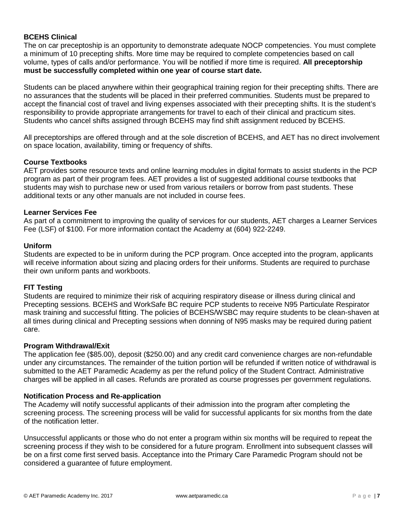#### **BCEHS Clinical**

The on car preceptoship is an opportunity to demonstrate adequate NOCP competencies. You must complete a minimum of 10 precepting shifts. More time may be required to complete competencies based on call volume, types of calls and/or performance. You will be notified if more time is required. **All preceptorship must be successfully completed within one year of course start date.**

Students can be placed anywhere within their geographical training region for their precepting shifts. There are no assurances that the students will be placed in their preferred communities. Students must be prepared to accept the financial cost of travel and living expenses associated with their precepting shifts. It is the student's responsibility to provide appropriate arrangements for travel to each of their clinical and practicum sites. Students who cancel shifts assigned through BCEHS may find shift assignment reduced by BCEHS.

All preceptorships are offered through and at the sole discretion of BCEHS, and AET has no direct involvement on space location, availability, timing or frequency of shifts.

#### **Course Textbooks**

AET provides some resource texts and online learning modules in digital formats to assist students in the PCP program as part of their program fees. AET provides a list of suggested additional course textbooks that students may wish to purchase new or used from various retailers or borrow from past students. These additional texts or any other manuals are not included in course fees.

#### **Learner Services Fee**

As part of a commitment to improving the quality of services for our students, AET charges a Learner Services Fee (LSF) of \$100. For more information contact the Academy at (604) 922-2249.

#### **Uniform**

Students are expected to be in uniform during the PCP program. Once accepted into the program, applicants will receive information about sizing and placing orders for their uniforms. Students are required to purchase their own uniform pants and workboots.

#### **FIT Testing**

Students are required to minimize their risk of acquiring respiratory disease or illness during clinical and Precepting sessions. BCEHS and WorkSafe BC require PCP students to receive N95 Particulate Respirator mask training and successful fitting. The policies of BCEHS/WSBC may require students to be clean-shaven at all times during clinical and Precepting sessions when donning of N95 masks may be required during patient care.

#### **Program Withdrawal/Exit**

The application fee (\$85.00), deposit (\$250.00) and any credit card convenience charges are non-refundable under any circumstances. The remainder of the tuition portion will be refunded if written notice of withdrawal is submitted to the AET Paramedic Academy as per the refund policy of the Student Contract. Administrative charges will be applied in all cases. Refunds are prorated as course progresses per government regulations.

#### **Notification Process and Re-application**

The Academy will notify successful applicants of their admission into the program after completing the screening process. The screening process will be valid for successful applicants for six months from the date of the notification letter.

Unsuccessful applicants or those who do not enter a program within six months will be required to repeat the screening process if they wish to be considered for a future program. Enrollment into subsequent classes will be on a first come first served basis. Acceptance into the Primary Care Paramedic Program should not be considered a guarantee of future employment.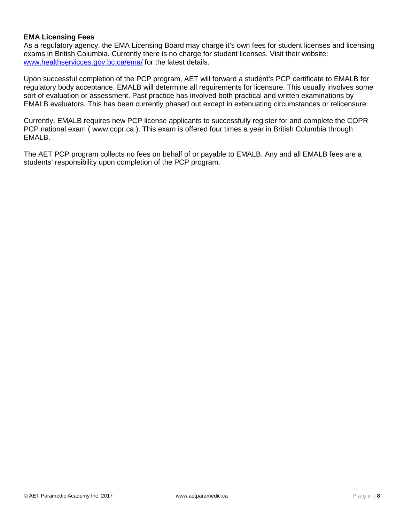#### **EMA Licensing Fees**

As a regulatory agency. the EMA Licensing Board may charge it's own fees for student licenses and licensing exams in British Columbia. Currently there is no charge for student licenses. Visit their website: [www.healthservicces.gov.bc.ca/ema/](http://www.healthservicces.gov.bc.ca/ema/) for the latest details.

Upon successful completion of the PCP program, AET will forward a student's PCP certificate to EMALB for regulatory body acceptance. EMALB will determine all requirements for licensure. This usually involves some sort of evaluation or assessment. Past practice has involved both practical and written examinations by EMALB evaluators. This has been currently phased out except in extenuating circumstances or relicensure.

Currently, EMALB requires new PCP license applicants to successfully register for and complete the COPR PCP national exam ( www.copr.ca ). This exam is offered four times a year in British Columbia through EMALB.

The AET PCP program collects no fees on behalf of or payable to EMALB. Any and all EMALB fees are a students' responsibility upon completion of the PCP program.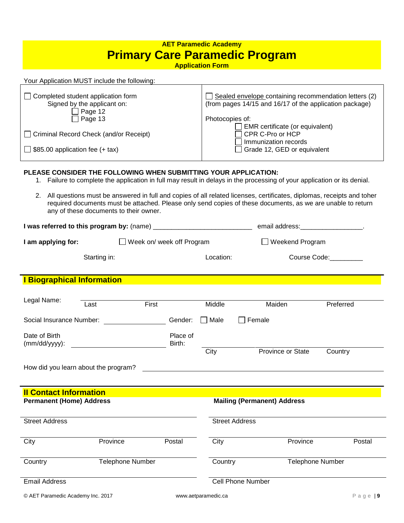# **AET Paramedic Academy Primary Care Paramedic Program**

**Application Form**

| Your Application MUST include the following:                                                                                                                                         |                                                                                                                                                                                                                                                          |
|--------------------------------------------------------------------------------------------------------------------------------------------------------------------------------------|----------------------------------------------------------------------------------------------------------------------------------------------------------------------------------------------------------------------------------------------------------|
| Completed student application form<br>Signed by the applicant on:<br>Page 12<br>$\Box$ Page 13<br>□ Criminal Record Check (and/or Receipt)<br>$\Box$ \$85.00 application fee (+ tax) | Sealed envelope containing recommendation letters (2)<br>(from pages 14/15 and 16/17 of the application package)<br>Photocopies of:<br>EMR certificate (or equivalent)<br>$\Box$ CPR C-Pro or HCP<br>Immunization records<br>Grade 12, GED or equivalent |

#### **PLEASE CONSIDER THE FOLLOWING WHEN SUBMITTING YOUR APPLICATION:**

- 1. Failure to complete the application in full may result in delays in the processing of your application or its denial.
- 2. All questions must be answered in full and copies of all related licenses, certificates, diplomas, receipts and toher required documents must be attached. Please only send copies of these documents, as we are unable to return any of these documents to their owner.

| I was referred to this program by: (name) |              | email address:            |                        |
|-------------------------------------------|--------------|---------------------------|------------------------|
| I am applying for:                        |              | Week on/ week off Program | $\Box$ Weekend Program |
|                                           | Starting in: | Location:                 | Course Code:           |

#### **I Biographical Information**

| Legal Name:                          | Last                    | First |                    | Middle  | Maiden                             |                         | Preferred |
|--------------------------------------|-------------------------|-------|--------------------|---------|------------------------------------|-------------------------|-----------|
| Social Insurance Number:             |                         |       | Gender:            | Male    | Female<br>$\mathsf{L}$             |                         |           |
| Date of Birth<br>$(mm/dd/yyyy)$ :    |                         |       | Place of<br>Birth: |         |                                    |                         |           |
|                                      |                         |       |                    | City    |                                    | Province or State       | Country   |
| How did you learn about the program? |                         |       |                    |         |                                    |                         |           |
|                                      |                         |       |                    |         |                                    |                         |           |
| <b>Il Contact Information</b>        |                         |       |                    |         |                                    |                         |           |
| <b>Permanent (Home) Address</b>      |                         |       |                    |         | <b>Mailing (Permanent) Address</b> |                         |           |
| <b>Street Address</b>                |                         |       |                    |         | <b>Street Address</b>              |                         |           |
| City                                 | Province                |       | Postal             | City    |                                    | Province                | Postal    |
| Country                              | <b>Telephone Number</b> |       |                    | Country |                                    | <b>Telephone Number</b> |           |
| <b>Email Address</b>                 |                         |       |                    |         | <b>Cell Phone Number</b>           |                         |           |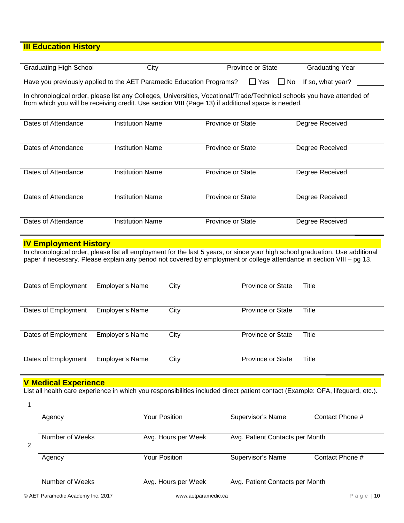# **III Education History**

| <b>Graduating High School</b> | City | <b>Province or State</b> | <b>Graduating Year</b> |
|-------------------------------|------|--------------------------|------------------------|
|                               |      |                          |                        |

Have you previously applied to the AET Paramedic Education Programs?  $\Box$  Yes  $\Box$  No If so, what year?

In chronological order, please list any Colleges, Universities, Vocational/Trade/Technical schools you have attended of from which you will be receiving credit. Use section **VIII** (Page 13) if additional space is needed.

| Dates of Attendance | <b>Institution Name</b> | <b>Province or State</b> | Degree Received |
|---------------------|-------------------------|--------------------------|-----------------|
| Dates of Attendance | <b>Institution Name</b> | <b>Province or State</b> | Degree Received |
| Dates of Attendance | <b>Institution Name</b> | <b>Province or State</b> | Degree Received |
| Dates of Attendance | <b>Institution Name</b> | <b>Province or State</b> | Degree Received |
| Dates of Attendance | <b>Institution Name</b> | <b>Province or State</b> | Degree Received |

#### **IV Employment History**

In chronological order, please list all employment for the last 5 years, or since your high school graduation. Use additional paper if necessary. Please explain any period not covered by employment or college attendance in section VIII – pg 13.

| Dates of Employment | <b>Employer's Name</b> | City | <b>Province or State</b> | Title |
|---------------------|------------------------|------|--------------------------|-------|
| Dates of Employment | <b>Employer's Name</b> | City | <b>Province or State</b> | Title |
| Dates of Employment | <b>Employer's Name</b> | City | <b>Province or State</b> | Title |
| Dates of Employment | <b>Employer's Name</b> | City | <b>Province or State</b> | Title |

## **V Medical Experience**

List all health care experience in which you responsibilities included direct patient contact (Example: OFA, lifeguard, etc.).

|   | Agency                            | <b>Your Position</b> | Supervisor's Name               | Contact Phone # |
|---|-----------------------------------|----------------------|---------------------------------|-----------------|
| 2 | Number of Weeks                   | Avg. Hours per Week  | Avg. Patient Contacts per Month |                 |
|   | Agency                            | Your Position        | Supervisor's Name               | Contact Phone # |
|   | Number of Weeks                   | Avg. Hours per Week  | Avg. Patient Contacts per Month |                 |
|   | © AET Paramedic Academy Inc. 2017 | www.aetparamedic.ca  |                                 | Page<br>110     |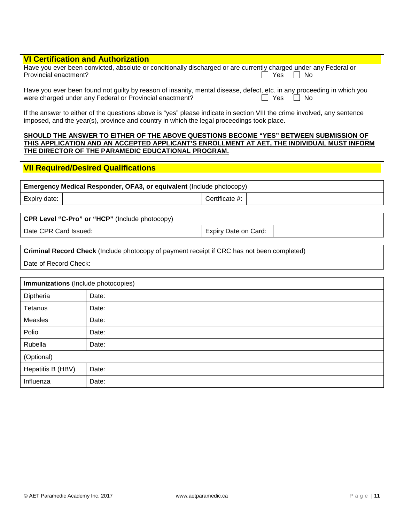# **VI Certification and Authorization**

| Have you ever been convicted, absolute or conditionally discharged or are currently charged under any Federal or |            |
|------------------------------------------------------------------------------------------------------------------|------------|
| Provincial enactment?                                                                                            | │ Yes │ No |

| Have you ever been found not guilty by reason of insanity, mental disease, defect, etc. in any proceeding in which you |                      |
|------------------------------------------------------------------------------------------------------------------------|----------------------|
| were charged under any Federal or Provincial enactment?                                                                | $\Box$ Yes $\Box$ No |

If the answer to either of the questions above is "yes" please indicate in section VIII the crime involved, any sentence imposed, and the year(s), province and country in which the legal proceedings took place.

#### **SHOULD THE ANSWER TO EITHER OF THE ABOVE QUESTIONS BECOME "YES" BETWEEN SUBMISSION OF THIS APPLICATION AND AN ACCEPTED APPLICANT'S ENROLLMENT AT AET, THE INDIVIDUAL MUST INFORM THE DIRECTOR OF THE PARAMEDIC EDUCATIONAL PROGRAM.**

### **VII Required/Desired Qualifications**

| <b>Emergency Medical Responder, OFA3, or equivalent (Include photocopy)</b> |  |                |  |
|-----------------------------------------------------------------------------|--|----------------|--|
| Expiry date:                                                                |  | Certificate #: |  |

#### **CPR Level "C-Pro" or "HCP"** (Include photocopy)

Date CPR Card Issued:  $\vert$  expiry Date on Card:

| <b>Criminal Record Check</b> (Include photocopy of payment receipt if CRC has not been completed) |  |  |  |
|---------------------------------------------------------------------------------------------------|--|--|--|
| Date of Record Check:                                                                             |  |  |  |

| Immunizations (Include photocopies) |       |  |  |  |  |
|-------------------------------------|-------|--|--|--|--|
| Diptheria                           | Date: |  |  |  |  |
| Tetanus                             | Date: |  |  |  |  |
| Measles                             | Date: |  |  |  |  |
| Polio                               | Date: |  |  |  |  |
| Rubella                             | Date: |  |  |  |  |
| (Optional)                          |       |  |  |  |  |
| Hepatitis B (HBV)                   | Date: |  |  |  |  |
| Influenza                           | Date: |  |  |  |  |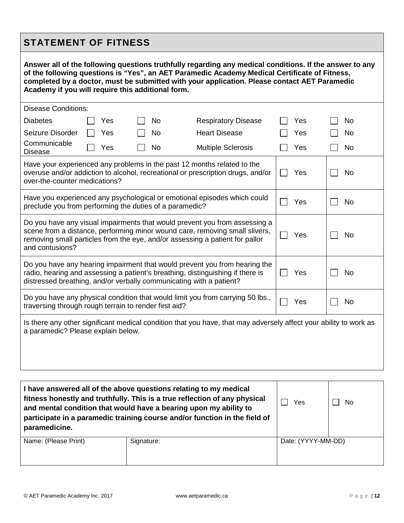# **STATEMENT OF FITNESS**

| Answer all of the following questions truthfully regarding any medical conditions. If the answer to any<br>of the following questions is "Yes", an AET Paramedic Academy Medical Certificate of Fitness,<br>completed by a doctor, must be submitted with your application. Please contact AET Paramedic<br>Academy if you will require this additional form. |  |     |  |    |                            |           |     |    |
|---------------------------------------------------------------------------------------------------------------------------------------------------------------------------------------------------------------------------------------------------------------------------------------------------------------------------------------------------------------|--|-----|--|----|----------------------------|-----------|-----|----|
| <b>Disease Conditions:</b>                                                                                                                                                                                                                                                                                                                                    |  |     |  |    |                            |           |     |    |
| <b>Diabetes</b>                                                                                                                                                                                                                                                                                                                                               |  | Yes |  | No | <b>Respiratory Disease</b> |           | Yes | No |
| Seizure Disorder                                                                                                                                                                                                                                                                                                                                              |  | Yes |  | No | <b>Heart Disease</b>       |           | Yes | No |
| Communicable<br><b>Disease</b>                                                                                                                                                                                                                                                                                                                                |  | Yes |  | No | <b>Multiple Sclerosis</b>  |           | Yes | No |
| Have your experienced any problems in the past 12 months related to the<br>overuse and/or addiction to alcohol, recreational or prescription drugs, and/or<br>over-the-counter medications?                                                                                                                                                                   |  |     |  |    |                            | Yes       | No  |    |
| Have you experienced any psychological or emotional episodes which could<br>preclude you from performing the duties of a paramedic?                                                                                                                                                                                                                           |  |     |  |    |                            | Yes       | No  |    |
| Do you have any visual impairments that would prevent you from assessing a<br>scene from a distance, performing minor wound care, removing small slivers,<br>removing small particles from the eye, and/or assessing a patient for pallor<br>and contusions?                                                                                                  |  |     |  |    |                            | Yes       | No  |    |
| Do you have any hearing impairment that would prevent you from hearing the<br>radio, hearing and assessing a patient's breathing, distinguishing if there is<br>distressed breathing, and/or verbally communicating with a patient?                                                                                                                           |  |     |  |    | Yes                        | No        |     |    |
| Do you have any physical condition that would limit you from carrying 50 lbs.,<br>traversing through rough terrain to render first aid?                                                                                                                                                                                                                       |  |     |  |    | Yes                        | No        |     |    |
| Is there any other significant medical condition that you have, that may adversely affect your ability to work as<br>a paramedic? Please explain below.                                                                                                                                                                                                       |  |     |  |    |                            |           |     |    |
|                                                                                                                                                                                                                                                                                                                                                               |  |     |  |    |                            |           |     |    |
| I have answered all of the above questions relating to my medical<br>fitness honestly and truthfully. This is a true reflection of any physical<br>and mental condition that would have a bearing upon my ability to                                                                                                                                          |  |     |  |    | Yes                        | <b>No</b> |     |    |

| paramedicine.        |            |                    |  |
|----------------------|------------|--------------------|--|
| Name: (Please Print) | Signature: | Date: (YYYY-MM-DD) |  |
|                      |            |                    |  |

**participate in a paramedic training course and/or function in the field of**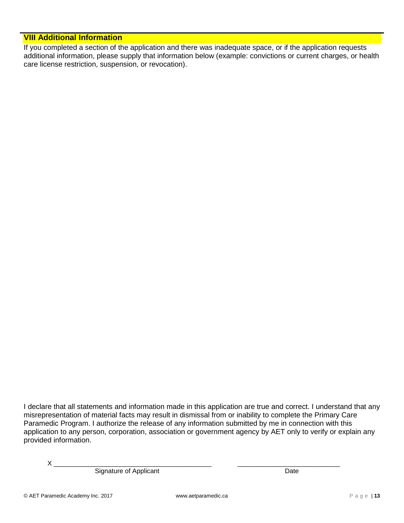# **VIII Additional Information**

If you completed a section of the application and there was inadequate space, or if the application requests additional information, please supply that information below (example: convictions or current charges, or health care license restriction, suspension, or revocation).

I declare that all statements and information made in this application are true and correct. I understand that any misrepresentation of material facts may result in dismissal from or inability to complete the Primary Care Paramedic Program. I authorize the release of any information submitted by me in connection with this application to any person, corporation, association or government agency by AET only to verify or explain any provided information.

X \_\_\_\_\_\_\_\_\_\_\_\_\_\_\_\_\_\_\_\_\_\_\_\_\_\_\_\_\_\_\_\_\_\_\_\_\_\_\_\_\_\_\_ \_\_\_\_\_\_\_\_\_\_\_\_\_\_\_\_\_\_\_\_\_\_\_\_\_\_\_\_

Signature of Applicant Date Date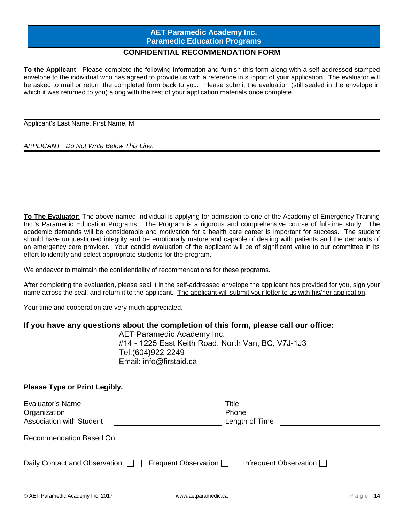# **AET Paramedic Academy Inc. Paramedic Education Programs**

# **CONFIDENTIAL RECOMMENDATION FORM**

**To the Applicant**: Please complete the following information and furnish this form along with a self-addressed stamped envelope to the individual who has agreed to provide us with a reference in support of your application. The evaluator will be asked to mail or return the completed form back to you. Please submit the evaluation (still sealed in the envelope in which it was returned to you) along with the rest of your application materials once complete.

Applicant's Last Name, First Name, MI

#### *APPLICANT: Do Not Write Below This Line.*

**To The Evaluator:** The above named Individual is applying for admission to one of the Academy of Emergency Training Inc.'s Paramedic Education Programs. The Program is a rigorous and comprehensive course of full-time study. The academic demands will be considerable and motivation for a health care career is important for success. The student should have unquestioned integrity and be emotionally mature and capable of dealing with patients and the demands of an emergency care provider. Your candid evaluation of the applicant will be of significant value to our committee in its effort to identify and select appropriate students for the program.

We endeavor to maintain the confidentiality of recommendations for these programs.

After completing the evaluation, please seal it in the self-addressed envelope the applicant has provided for you, sign your name across the seal, and return it to the applicant. The applicant will submit your letter to us with his/her application.

Your time and cooperation are very much appreciated.

#### **If you have any questions about the completion of this form, please call our office:**

AET Paramedic Academy Inc. #14 - 1225 East Keith Road, North Van, BC, V7J-1J3 Tel:(604)922-2249 Email: info@firstaid.ca

#### **Please Type or Print Legibly.**

| Evaluator's Name<br>Organization<br><b>Association with Student</b> | Title<br>Phone<br>Length of Time |
|---------------------------------------------------------------------|----------------------------------|
| Recommendation Based On:                                            |                                  |
| Frequent Observation 1<br>Daily Contact and Observation             | Infrequent Observation $\Box$    |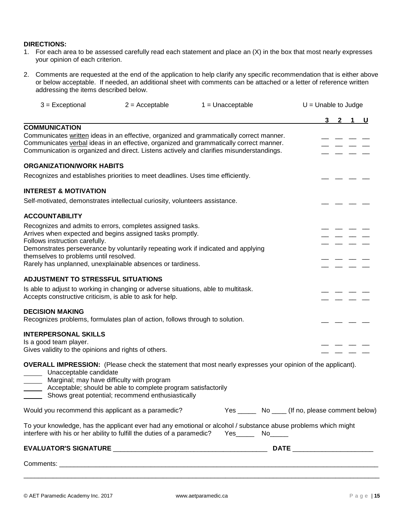#### **DIRECTIONS:**

- 1. For each area to be assessed carefully read each statement and place an (X) in the box that most nearly expresses your opinion of each criterion.
- 2. Comments are requested at the end of the application to help clarify any specific recommendation that is either above or below acceptable. If needed, an additional sheet with comments can be attached or a letter of reference written addressing the items described below.

| $3 = Exceptional$<br>$2 =$ Acceptable                                                                                                                                                                                                                                                                                                                  |                                                                                                             | $1 =$ Unacceptable                                                                                                      | $U =$ Unable to Judge          |         |  |  |  |  |  |  |
|--------------------------------------------------------------------------------------------------------------------------------------------------------------------------------------------------------------------------------------------------------------------------------------------------------------------------------------------------------|-------------------------------------------------------------------------------------------------------------|-------------------------------------------------------------------------------------------------------------------------|--------------------------------|---------|--|--|--|--|--|--|
|                                                                                                                                                                                                                                                                                                                                                        |                                                                                                             |                                                                                                                         |                                | 3 2 1 U |  |  |  |  |  |  |
| <b>COMMUNICATION</b><br>Communicates written ideas in an effective, organized and grammatically correct manner.<br>Communicates verbal ideas in an effective, organized and grammatically correct manner.<br>Communication is organized and direct. Listens actively and clarifies misunderstandings.                                                  |                                                                                                             |                                                                                                                         |                                |         |  |  |  |  |  |  |
| <b>ORGANIZATION/WORK HABITS</b>                                                                                                                                                                                                                                                                                                                        |                                                                                                             |                                                                                                                         |                                |         |  |  |  |  |  |  |
| Recognizes and establishes priorities to meet deadlines. Uses time efficiently.                                                                                                                                                                                                                                                                        |                                                                                                             |                                                                                                                         |                                |         |  |  |  |  |  |  |
| <b>INTEREST &amp; MOTIVATION</b>                                                                                                                                                                                                                                                                                                                       |                                                                                                             |                                                                                                                         |                                |         |  |  |  |  |  |  |
| Self-motivated, demonstrates intellectual curiosity, volunteers assistance.                                                                                                                                                                                                                                                                            |                                                                                                             |                                                                                                                         |                                |         |  |  |  |  |  |  |
| <b>ACCOUNTABILITY</b>                                                                                                                                                                                                                                                                                                                                  |                                                                                                             |                                                                                                                         |                                |         |  |  |  |  |  |  |
| Recognizes and admits to errors, completes assigned tasks.<br>Arrives when expected and begins assigned tasks promptly.<br>Follows instruction carefully.<br>Demonstrates perseverance by voluntarily repeating work if indicated and applying<br>themselves to problems until resolved.<br>Rarely has unplanned, unexplainable absences or tardiness. |                                                                                                             |                                                                                                                         |                                |         |  |  |  |  |  |  |
| <b>ADJUSTMENT TO STRESSFUL SITUATIONS</b><br>Is able to adjust to working in changing or adverse situations, able to multitask.<br>Accepts constructive criticism, is able to ask for help.                                                                                                                                                            |                                                                                                             |                                                                                                                         |                                |         |  |  |  |  |  |  |
| <b>DECISION MAKING</b><br>Recognizes problems, formulates plan of action, follows through to solution.                                                                                                                                                                                                                                                 |                                                                                                             |                                                                                                                         |                                |         |  |  |  |  |  |  |
| <b>INTERPERSONAL SKILLS</b><br>Is a good team player.<br>Gives validity to the opinions and rights of others.<br>Unacceptable candidate                                                                                                                                                                                                                | Marginal; may have difficulty with program<br>Acceptable; should be able to complete program satisfactorily | <b>OVERALL IMPRESSION:</b> (Please check the statement that most nearly expresses your opinion of the applicant).       |                                |         |  |  |  |  |  |  |
| Would you recommend this applicant as a paramedic?                                                                                                                                                                                                                                                                                                     | Shows great potential; recommend enthusiastically                                                           | Yes ________ No _____ (If no, please comment below)                                                                     |                                |         |  |  |  |  |  |  |
| interfere with his or her ability to fulfill the duties of a paramedic?                                                                                                                                                                                                                                                                                |                                                                                                             | To your knowledge, has the applicant ever had any emotional or alcohol / substance abuse problems which might<br>Yes No |                                |         |  |  |  |  |  |  |
|                                                                                                                                                                                                                                                                                                                                                        |                                                                                                             |                                                                                                                         | DATE _________________________ |         |  |  |  |  |  |  |
|                                                                                                                                                                                                                                                                                                                                                        |                                                                                                             |                                                                                                                         |                                |         |  |  |  |  |  |  |
|                                                                                                                                                                                                                                                                                                                                                        |                                                                                                             |                                                                                                                         |                                |         |  |  |  |  |  |  |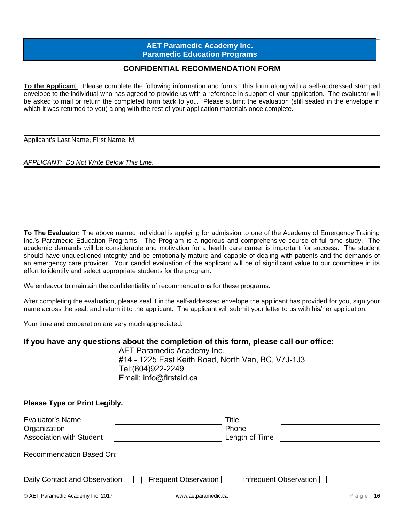#### $\overline{\phantom{a}}$  , and the set of the set of the set of the set of the set of the set of the set of the set of the set of the set of the set of the set of the set of the set of the set of the set of the set of the set of the s **AET Paramedic Academy Inc. Paramedic Education Programs**

## **CONFIDENTIAL RECOMMENDATION FORM**

**To the Applicant**: Please complete the following information and furnish this form along with a self-addressed stamped envelope to the individual who has agreed to provide us with a reference in support of your application. The evaluator will be asked to mail or return the completed form back to you. Please submit the evaluation (still sealed in the envelope in which it was returned to you) along with the rest of your application materials once complete.

Applicant's Last Name, First Name, MI

*APPLICANT: Do Not Write Below This Line.*

**To The Evaluator:** The above named Individual is applying for admission to one of the Academy of Emergency Training Inc.'s Paramedic Education Programs. The Program is a rigorous and comprehensive course of full-time study. The academic demands will be considerable and motivation for a health care career is important for success. The student should have unquestioned integrity and be emotionally mature and capable of dealing with patients and the demands of an emergency care provider. Your candid evaluation of the applicant will be of significant value to our committee in its effort to identify and select appropriate students for the program.

We endeavor to maintain the confidentiality of recommendations for these programs.

After completing the evaluation, please seal it in the self-addressed envelope the applicant has provided for you, sign your name across the seal, and return it to the applicant. The applicant will submit your letter to us with his/her application.

Your time and cooperation are very much appreciated.

#### **If you have any questions about the completion of this form, please call our office:**

AET Paramedic Academy Inc. #14 - 1225 East Keith Road, North Van, BC, V7J-1J3 Tel:(604)922-2249 Email: info@firstaid.ca

**Please Type or Print Legibly.**

| Evaluator's Name<br>Organization<br><b>Association with Student</b>               | Title<br>Phone<br>Length of Time |  |  |  |
|-----------------------------------------------------------------------------------|----------------------------------|--|--|--|
| <b>Recommendation Based On:</b>                                                   |                                  |  |  |  |
| Daily Contact and Observation     Frequent Observation     Infrequent Observation |                                  |  |  |  |